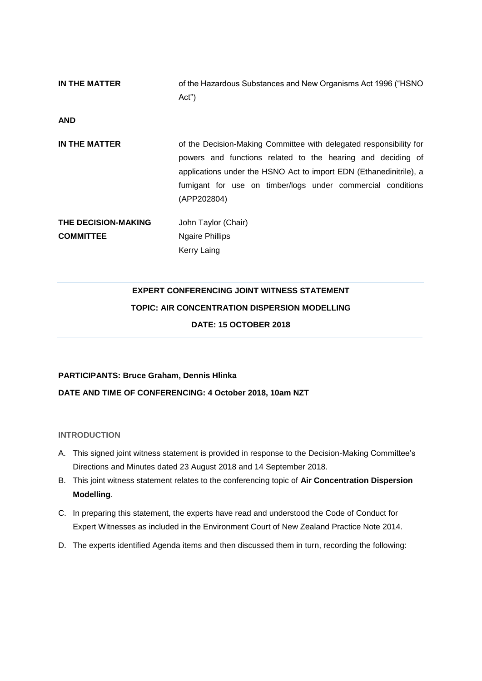| IN THE MATTER       | of the Hazardous Substances and New Organisms Act 1996 ("HSNO<br>Act")                                                                                                                                                                                                                |
|---------------------|---------------------------------------------------------------------------------------------------------------------------------------------------------------------------------------------------------------------------------------------------------------------------------------|
| <b>AND</b>          |                                                                                                                                                                                                                                                                                       |
| IN THE MATTER       | of the Decision-Making Committee with delegated responsibility for<br>powers and functions related to the hearing and deciding of<br>applications under the HSNO Act to import EDN (Ethanedinitrile), a<br>fumigant for use on timber/logs under commercial conditions<br>(APP202804) |
| THE DECISION-MAKING | John Taylor (Chair)                                                                                                                                                                                                                                                                   |
| <b>COMMITTEE</b>    | <b>Ngaire Phillips</b><br>Kerry Laing                                                                                                                                                                                                                                                 |

# **EXPERT CONFERENCING JOINT WITNESS STATEMENT TOPIC: AIR CONCENTRATION DISPERSION MODELLING DATE: 15 OCTOBER 2018**

# **PARTICIPANTS: Bruce Graham, Dennis Hlinka DATE AND TIME OF CONFERENCING: 4 October 2018, 10am NZT**

## **INTRODUCTION**

- A. This signed joint witness statement is provided in response to the Decision-Making Committee's Directions and Minutes dated 23 August 2018 and 14 September 2018.
- B. This joint witness statement relates to the conferencing topic of **Air Concentration Dispersion Modelling**.
- C. In preparing this statement, the experts have read and understood the Code of Conduct for Expert Witnesses as included in the Environment Court of New Zealand Practice Note 2014.
- D. The experts identified Agenda items and then discussed them in turn, recording the following: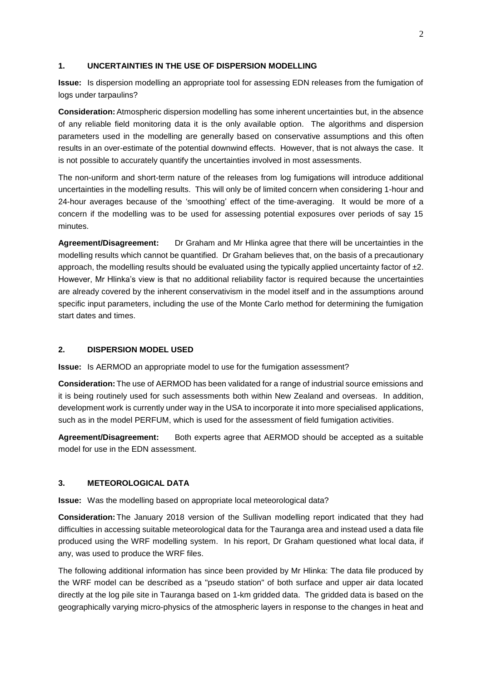#### **1. UNCERTAINTIES IN THE USE OF DISPERSION MODELLING**

**Issue:** Is dispersion modelling an appropriate tool for assessing EDN releases from the fumigation of logs under tarpaulins?

**Consideration:**Atmospheric dispersion modelling has some inherent uncertainties but, in the absence of any reliable field monitoring data it is the only available option. The algorithms and dispersion parameters used in the modelling are generally based on conservative assumptions and this often results in an over-estimate of the potential downwind effects. However, that is not always the case. It is not possible to accurately quantify the uncertainties involved in most assessments.

The non-uniform and short-term nature of the releases from log fumigations will introduce additional uncertainties in the modelling results. This will only be of limited concern when considering 1-hour and 24-hour averages because of the 'smoothing' effect of the time-averaging. It would be more of a concern if the modelling was to be used for assessing potential exposures over periods of say 15 minutes.

**Agreement/Disagreement:** Dr Graham and Mr Hlinka agree that there will be uncertainties in the modelling results which cannot be quantified. Dr Graham believes that, on the basis of a precautionary approach, the modelling results should be evaluated using the typically applied uncertainty factor of  $\pm 2$ . However, Mr Hlinka's view is that no additional reliability factor is required because the uncertainties are already covered by the inherent conservativism in the model itself and in the assumptions around specific input parameters, including the use of the Monte Carlo method for determining the fumigation start dates and times.

## **2. DISPERSION MODEL USED**

**Issue:** Is AERMOD an appropriate model to use for the fumigation assessment?

**Consideration:** The use of AERMOD has been validated for a range of industrial source emissions and it is being routinely used for such assessments both within New Zealand and overseas. In addition, development work is currently under way in the USA to incorporate it into more specialised applications, such as in the model PERFUM, which is used for the assessment of field fumigation activities.

**Agreement/Disagreement:** Both experts agree that AERMOD should be accepted as a suitable model for use in the EDN assessment.

#### **3. METEOROLOGICAL DATA**

**Issue:** Was the modelling based on appropriate local meteorological data?

**Consideration:** The January 2018 version of the Sullivan modelling report indicated that they had difficulties in accessing suitable meteorological data for the Tauranga area and instead used a data file produced using the WRF modelling system. In his report, Dr Graham questioned what local data, if any, was used to produce the WRF files.

The following additional information has since been provided by Mr Hlinka: The data file produced by the WRF model can be described as a "pseudo station" of both surface and upper air data located directly at the log pile site in Tauranga based on 1-km gridded data. The gridded data is based on the geographically varying micro-physics of the atmospheric layers in response to the changes in heat and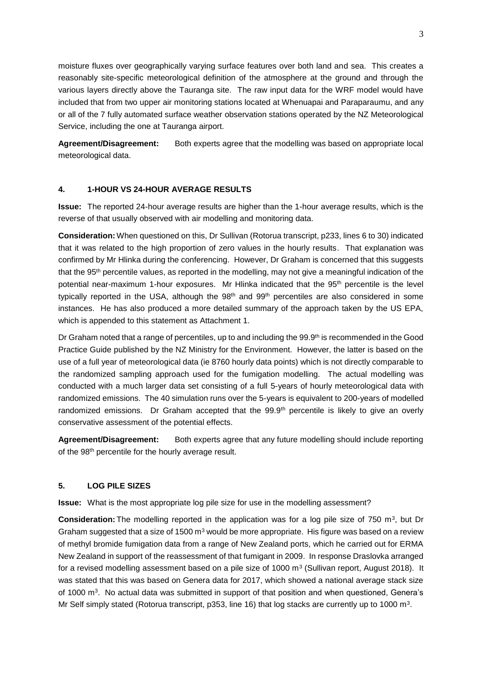moisture fluxes over geographically varying surface features over both land and sea. This creates a reasonably site-specific meteorological definition of the atmosphere at the ground and through the various layers directly above the Tauranga site. The raw input data for the WRF model would have included that from two upper air monitoring stations located at Whenuapai and Paraparaumu, and any or all of the 7 fully automated surface weather observation stations operated by the NZ Meteorological Service, including the one at Tauranga airport.

Agreement/Disagreement: Both experts agree that the modelling was based on appropriate local meteorological data.

## **4. 1-HOUR VS 24-HOUR AVERAGE RESULTS**

**Issue:** The reported 24-hour average results are higher than the 1-hour average results, which is the reverse of that usually observed with air modelling and monitoring data.

**Consideration:**When questioned on this, Dr Sullivan (Rotorua transcript, p233, lines 6 to 30) indicated that it was related to the high proportion of zero values in the hourly results. That explanation was confirmed by Mr Hlinka during the conferencing. However, Dr Graham is concerned that this suggests that the 95th percentile values, as reported in the modelling, may not give a meaningful indication of the potential near-maximum 1-hour exposures. Mr Hlinka indicated that the 95<sup>th</sup> percentile is the level typically reported in the USA, although the 98<sup>th</sup> and 99<sup>th</sup> percentiles are also considered in some instances. He has also produced a more detailed summary of the approach taken by the US EPA, which is appended to this statement as Attachment 1.

Dr Graham noted that a range of percentiles, up to and including the 99.9<sup>th</sup> is recommended in the Good Practice Guide published by the NZ Ministry for the Environment. However, the latter is based on the use of a full year of meteorological data (ie 8760 hourly data points) which is not directly comparable to the randomized sampling approach used for the fumigation modelling. The actual modelling was conducted with a much larger data set consisting of a full 5-years of hourly meteorological data with randomized emissions. The 40 simulation runs over the 5-years is equivalent to 200-years of modelled randomized emissions. Dr Graham accepted that the 99.9<sup>th</sup> percentile is likely to give an overly conservative assessment of the potential effects.

**Agreement/Disagreement:** Both experts agree that any future modelling should include reporting of the 98<sup>th</sup> percentile for the hourly average result.

#### **5. LOG PILE SIZES**

**Issue:** What is the most appropriate log pile size for use in the modelling assessment?

**Consideration:** The modelling reported in the application was for a log pile size of 750 m<sup>3</sup>, but Dr Graham suggested that a size of 1500  $m<sup>3</sup>$  would be more appropriate. His figure was based on a review of methyl bromide fumigation data from a range of New Zealand ports, which he carried out for ERMA New Zealand in support of the reassessment of that fumigant in 2009. In response Draslovka arranged for a revised modelling assessment based on a pile size of 1000 m<sup>3</sup> (Sullivan report, August 2018). It was stated that this was based on Genera data for 2017, which showed a national average stack size of 1000 m<sup>3</sup>. No actual data was submitted in support of that position and when questioned, Genera's Mr Self simply stated (Rotorua transcript, p353, line 16) that log stacks are currently up to 1000 m<sup>3</sup>.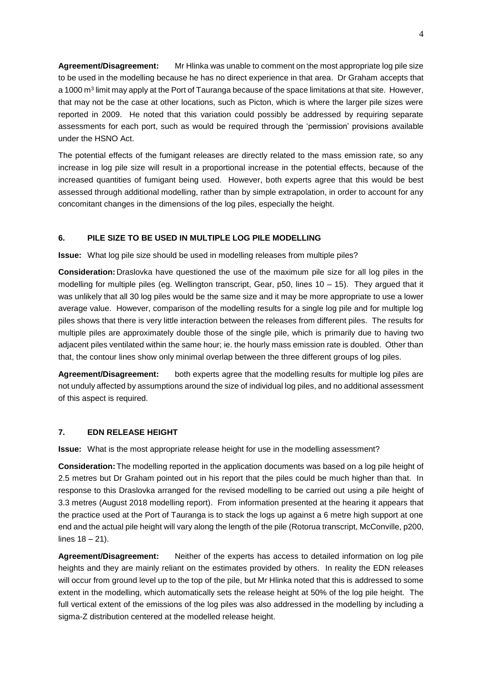**Agreement/Disagreement:** Mr Hlinka was unable to comment on the most appropriate log pile size to be used in the modelling because he has no direct experience in that area. Dr Graham accepts that a 1000 m<sup>3</sup> limit may apply at the Port of Tauranga because of the space limitations at that site. However, that may not be the case at other locations, such as Picton, which is where the larger pile sizes were reported in 2009. He noted that this variation could possibly be addressed by requiring separate assessments for each port, such as would be required through the 'permission' provisions available under the HSNO Act.

The potential effects of the fumigant releases are directly related to the mass emission rate, so any increase in log pile size will result in a proportional increase in the potential effects, because of the increased quantities of fumigant being used. However, both experts agree that this would be best assessed through additional modelling, rather than by simple extrapolation, in order to account for any concomitant changes in the dimensions of the log piles, especially the height.

## **6. PILE SIZE TO BE USED IN MULTIPLE LOG PILE MODELLING**

**Issue:** What log pile size should be used in modelling releases from multiple piles?

**Consideration:** Draslovka have questioned the use of the maximum pile size for all log piles in the modelling for multiple piles (eg. Wellington transcript, Gear,  $p50$ , lines  $10 - 15$ ). They argued that it was unlikely that all 30 log piles would be the same size and it may be more appropriate to use a lower average value. However, comparison of the modelling results for a single log pile and for multiple log piles shows that there is very little interaction between the releases from different piles. The results for multiple piles are approximately double those of the single pile, which is primarily due to having two adjacent piles ventilated within the same hour; ie. the hourly mass emission rate is doubled. Other than that, the contour lines show only minimal overlap between the three different groups of log piles.

**Agreement/Disagreement:** both experts agree that the modelling results for multiple log piles are not unduly affected by assumptions around the size of individual log piles, and no additional assessment of this aspect is required.

## **7. EDN RELEASE HEIGHT**

**Issue:** What is the most appropriate release height for use in the modelling assessment?

**Consideration:**The modelling reported in the application documents was based on a log pile height of 2.5 metres but Dr Graham pointed out in his report that the piles could be much higher than that. In response to this Draslovka arranged for the revised modelling to be carried out using a pile height of 3.3 metres (August 2018 modelling report). From information presented at the hearing it appears that the practice used at the Port of Tauranga is to stack the logs up against a 6 metre high support at one end and the actual pile height will vary along the length of the pile (Rotorua transcript, McConville, p200, lines 18 – 21).

**Agreement/Disagreement:** Neither of the experts has access to detailed information on log pile heights and they are mainly reliant on the estimates provided by others. In reality the EDN releases will occur from ground level up to the top of the pile, but Mr Hlinka noted that this is addressed to some extent in the modelling, which automatically sets the release height at 50% of the log pile height. The full vertical extent of the emissions of the log piles was also addressed in the modelling by including a sigma-Z distribution centered at the modelled release height.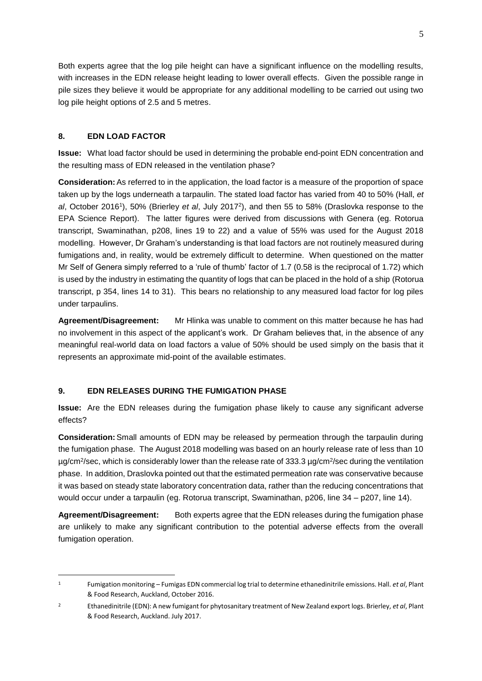Both experts agree that the log pile height can have a significant influence on the modelling results, with increases in the EDN release height leading to lower overall effects. Given the possible range in pile sizes they believe it would be appropriate for any additional modelling to be carried out using two log pile height options of 2.5 and 5 metres.

# **8. EDN LOAD FACTOR**

-

**Issue:** What load factor should be used in determining the probable end-point EDN concentration and the resulting mass of EDN released in the ventilation phase?

**Consideration:**As referred to in the application, the load factor is a measure of the proportion of space taken up by the logs underneath a tarpaulin. The stated load factor has varied from 40 to 50% (Hall, *et al*, October 2016<sup>1</sup> ), 50% (Brierley *et al*, July 2017<sup>2</sup> ), and then 55 to 58% (Draslovka response to the EPA Science Report). The latter figures were derived from discussions with Genera (eg. Rotorua transcript, Swaminathan, p208, lines 19 to 22) and a value of 55% was used for the August 2018 modelling. However, Dr Graham's understanding is that load factors are not routinely measured during fumigations and, in reality, would be extremely difficult to determine. When questioned on the matter Mr Self of Genera simply referred to a 'rule of thumb' factor of 1.7 (0.58 is the reciprocal of 1.72) which is used by the industry in estimating the quantity of logs that can be placed in the hold of a ship (Rotorua transcript, p 354, lines 14 to 31). This bears no relationship to any measured load factor for log piles under tarpaulins.

**Agreement/Disagreement:** Mr Hlinka was unable to comment on this matter because he has had no involvement in this aspect of the applicant's work. Dr Graham believes that, in the absence of any meaningful real-world data on load factors a value of 50% should be used simply on the basis that it represents an approximate mid-point of the available estimates.

# **9. EDN RELEASES DURING THE FUMIGATION PHASE**

**Issue:** Are the EDN releases during the fumigation phase likely to cause any significant adverse effects?

**Consideration:**Small amounts of EDN may be released by permeation through the tarpaulin during the fumigation phase. The August 2018 modelling was based on an hourly release rate of less than 10 µg/cm<sup>2</sup>/sec, which is considerably lower than the release rate of 333.3 µg/cm<sup>2</sup>/sec during the ventilation phase. In addition, Draslovka pointed out that the estimated permeation rate was conservative because it was based on steady state laboratory concentration data, rather than the reducing concentrations that would occur under a tarpaulin (eg. Rotorua transcript, Swaminathan, p206, line 34 – p207, line 14).

**Agreement/Disagreement:** Both experts agree that the EDN releases during the fumigation phase are unlikely to make any significant contribution to the potential adverse effects from the overall fumigation operation.

<sup>1</sup> Fumigation monitoring – Fumigas EDN commercial log trial to determine ethanedinitrile emissions. Hall. *et al*, Plant & Food Research, Auckland, October 2016.

<sup>2</sup> Ethanedinitrile (EDN): A new fumigant for phytosanitary treatment of New Zealand export logs. Brierley, *et al*, Plant & Food Research, Auckland. July 2017.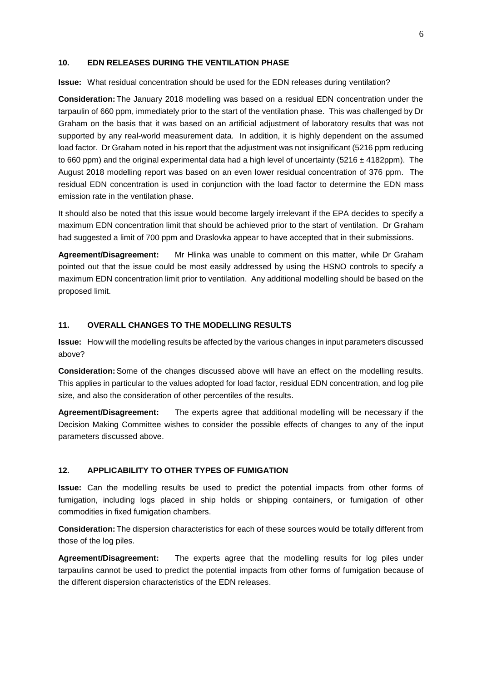#### **10. EDN RELEASES DURING THE VENTILATION PHASE**

**Issue:** What residual concentration should be used for the EDN releases during ventilation?

**Consideration:** The January 2018 modelling was based on a residual EDN concentration under the tarpaulin of 660 ppm, immediately prior to the start of the ventilation phase. This was challenged by Dr Graham on the basis that it was based on an artificial adjustment of laboratory results that was not supported by any real-world measurement data. In addition, it is highly dependent on the assumed load factor. Dr Graham noted in his report that the adjustment was not insignificant (5216 ppm reducing to 660 ppm) and the original experimental data had a high level of uncertainty ( $5216 \pm 4182$ ppm). The August 2018 modelling report was based on an even lower residual concentration of 376 ppm. The residual EDN concentration is used in conjunction with the load factor to determine the EDN mass emission rate in the ventilation phase.

It should also be noted that this issue would become largely irrelevant if the EPA decides to specify a maximum EDN concentration limit that should be achieved prior to the start of ventilation. Dr Graham had suggested a limit of 700 ppm and Draslovka appear to have accepted that in their submissions.

**Agreement/Disagreement:** Mr Hlinka was unable to comment on this matter, while Dr Graham pointed out that the issue could be most easily addressed by using the HSNO controls to specify a maximum EDN concentration limit prior to ventilation. Any additional modelling should be based on the proposed limit.

## **11. OVERALL CHANGES TO THE MODELLING RESULTS**

**Issue:** How will the modelling results be affected by the various changes in input parameters discussed above?

**Consideration:**Some of the changes discussed above will have an effect on the modelling results. This applies in particular to the values adopted for load factor, residual EDN concentration, and log pile size, and also the consideration of other percentiles of the results.

**Agreement/Disagreement:** The experts agree that additional modelling will be necessary if the Decision Making Committee wishes to consider the possible effects of changes to any of the input parameters discussed above.

#### **12. APPLICABILITY TO OTHER TYPES OF FUMIGATION**

**Issue:** Can the modelling results be used to predict the potential impacts from other forms of fumigation, including logs placed in ship holds or shipping containers, or fumigation of other commodities in fixed fumigation chambers.

**Consideration:** The dispersion characteristics for each of these sources would be totally different from those of the log piles.

**Agreement/Disagreement:** The experts agree that the modelling results for log piles under tarpaulins cannot be used to predict the potential impacts from other forms of fumigation because of the different dispersion characteristics of the EDN releases.